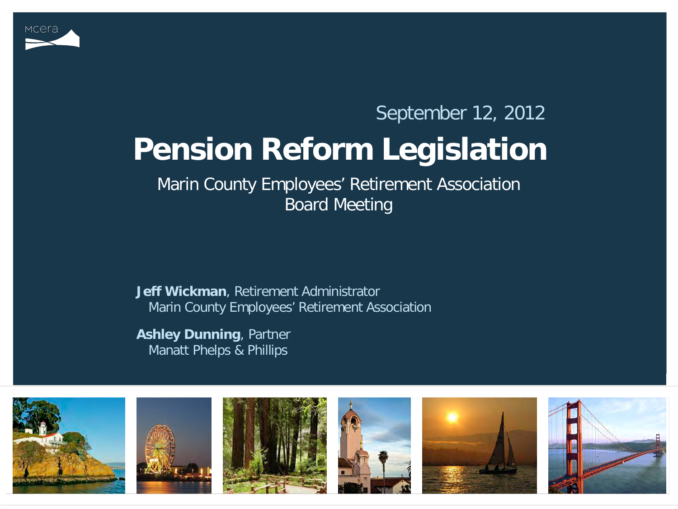

#### **Pension Reform Legislation** September 12, 2012

Marin County Employees' Retirement Association Board Meeting

**Jeff Wickman**, Retirement Administrator Marin County Employees' Retirement Association

**Ashley Dunning**, Partner Manatt Phelps & Phillips

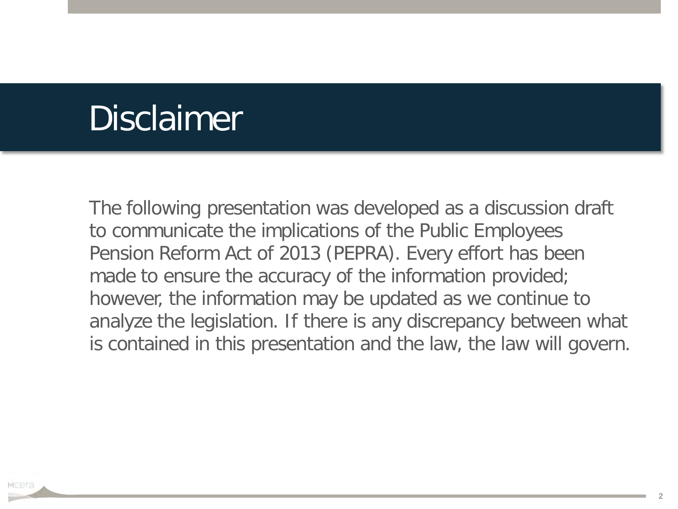#### Disclaimer

The following presentation was developed as a discussion draft to communicate the implications of the Public Employees Pension Reform Act of 2013 (PEPRA). Every effort has been made to ensure the accuracy of the information provided; however, the information may be updated as we continue to analyze the legislation. If there is any discrepancy between what is contained in this presentation and the law, the law will govern.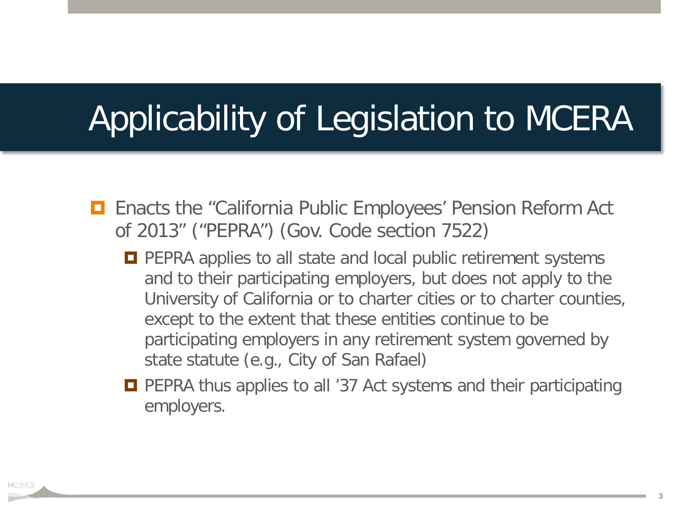#### Applicability of Legislation to MCERA

- **E** Enacts the "California Public Employees' Pension Reform Act of 2013" ("PEPRA") (Gov. Code section 7522)
	- **PEPRA applies to all state and local public retirement systems** and to their participating employers, but does not apply to the University of California or to charter cities or to charter counties, except to the extent that these entities continue to be participating employers in any retirement system governed by state statute (e.g., City of San Rafael)
	- **PEPRA thus applies to all '37 Act systems and their participating** employers.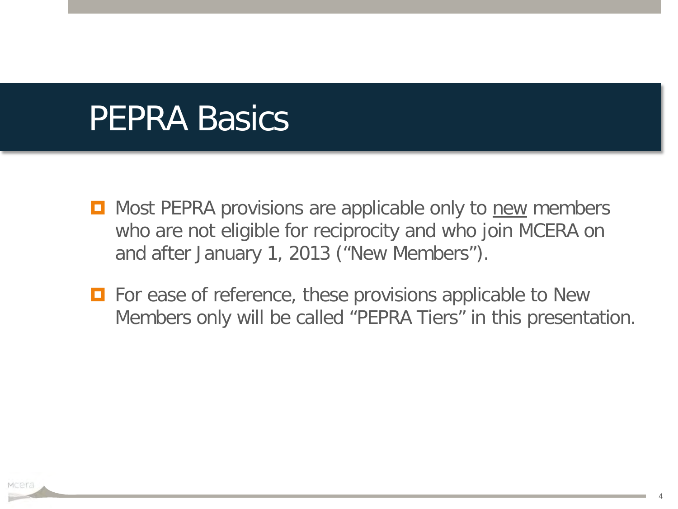#### PEPRA Basics

- Most PEPRA provisions are applicable only to new members who are not eligible for reciprocity and who join MCERA on and after January 1, 2013 ("New Members").
- **For ease of reference, these provisions applicable to New** Members only will be called "PEPRA Tiers" in this presentation.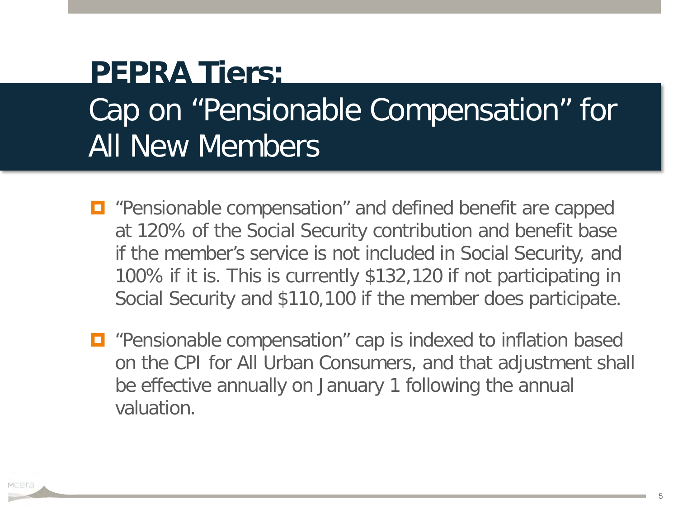#### Cap on "Pensionable Compensation" for All New Members **PEPRA Tiers:**

- $\Box$  "Pensionable compensation" and defined benefit are capped at 120% of the Social Security contribution and benefit base if the member's service is not included in Social Security, and 100% if it is. This is currently \$132,120 if not participating in Social Security and \$110,100 if the member does participate.
- $\Box$  "Pensionable compensation" cap is indexed to inflation based on the CPI for All Urban Consumers, and that adjustment shall be effective annually on January 1 following the annual valuation.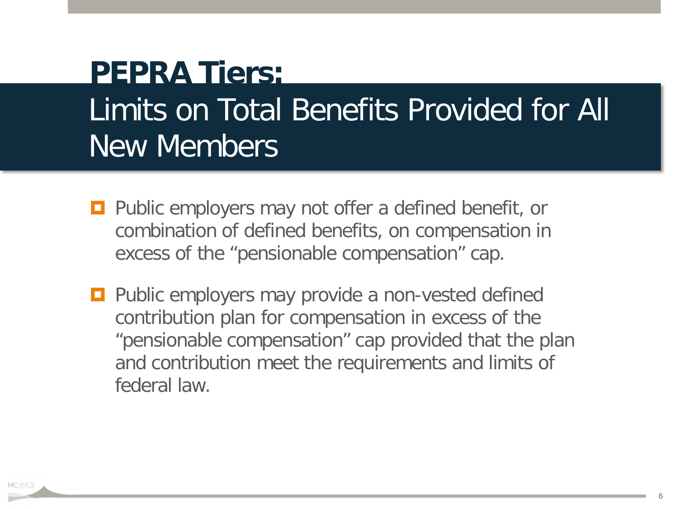#### Limits on Total Benefits Provided for All New Members **PEPRA Tiers:**

- **Public employers may not offer a defined benefit, or** combination of defined benefits, on compensation in excess of the "pensionable compensation" cap.
- **Public employers may provide a non-vested defined** contribution plan for compensation in excess of the "pensionable compensation" cap provided that the plan and contribution meet the requirements and limits of federal law.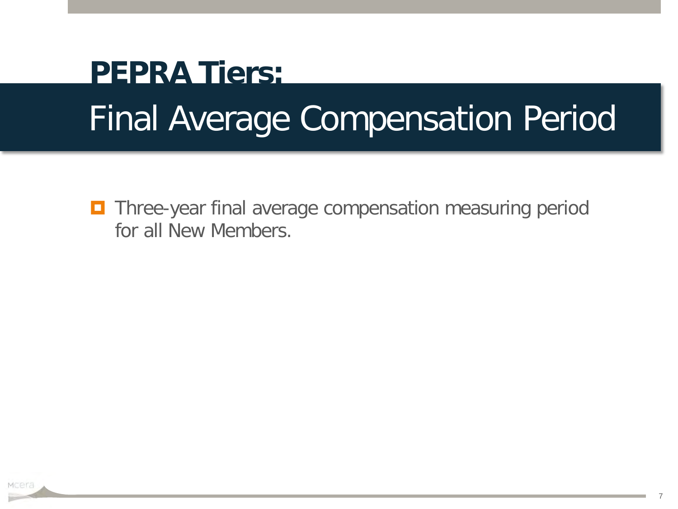# Final Average Compensation Period **PEPRA Tiers:**

**Three-year final average compensation measuring period** for all New Members.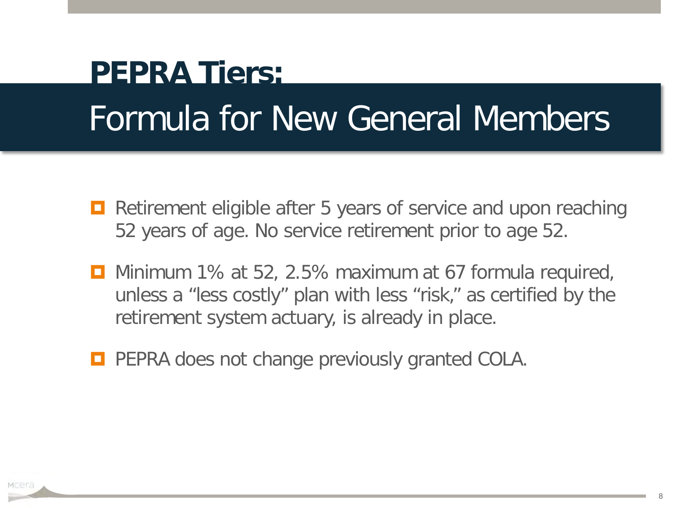### Formula for New General Members **PEPRA Tiers:**

- Retirement eligible after 5 years of service and upon reaching 52 years of age. No service retirement prior to age 52.
- **D** Minimum 1% at 52, 2.5% maximum at 67 formula required, unless a "less costly" plan with less "risk," as certified by the retirement system actuary, is already in place.
- **PEPRA does not change previously granted COLA.**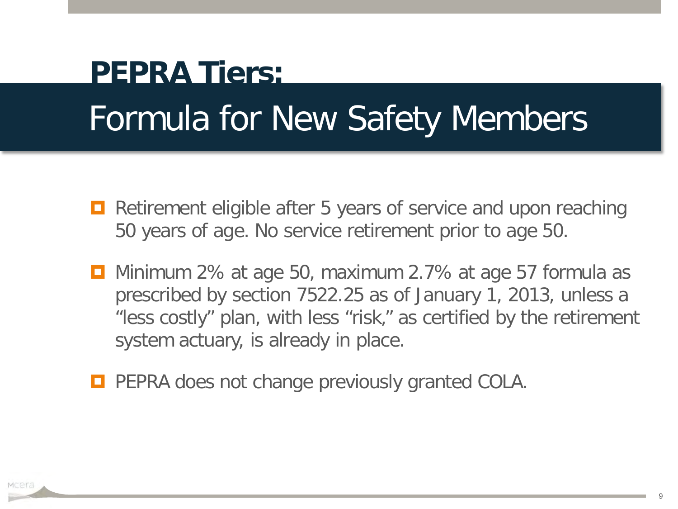# Formula for New Safety Members **PEPRA Tiers:**

- **E** Retirement eligible after 5 years of service and upon reaching 50 years of age. No service retirement prior to age 50.
- **D** Minimum 2% at age 50, maximum 2.7% at age 57 formula as prescribed by section 7522.25 as of January 1, 2013, unless a "less costly" plan, with less "risk," as certified by the retirement system actuary, is already in place.
- **PEPRA does not change previously granted COLA.**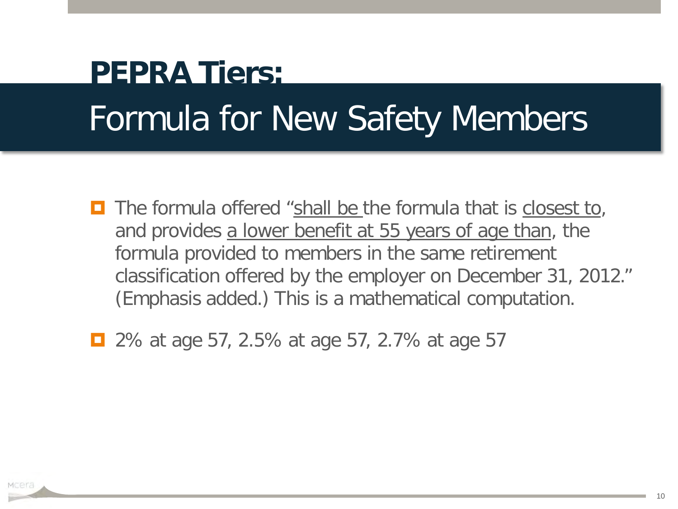## Formula for New Safety Members **PEPRA Tiers:**

- **T** The formula offered "shall be the formula that is closest to, and provides a lower benefit at 55 years of age than, the formula provided to members in the same retirement classification offered by the employer on December 31, 2012." (Emphasis added.) This is a mathematical computation.
- 2% at age 57, 2.5% at age 57, 2.7% at age 57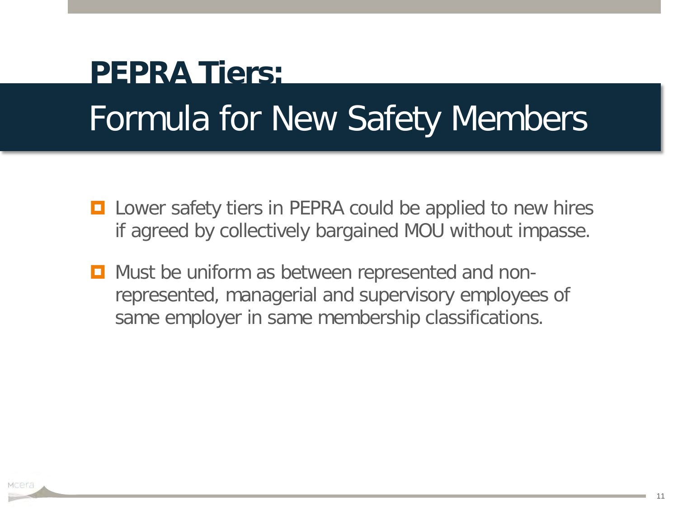# Formula for New Safety Members **PEPRA Tiers:**

- **□** Lower safety tiers in PEPRA could be applied to new hires if agreed by collectively bargained MOU without impasse.
- **D** Must be uniform as between represented and nonrepresented, managerial and supervisory employees of same employer in same membership classifications.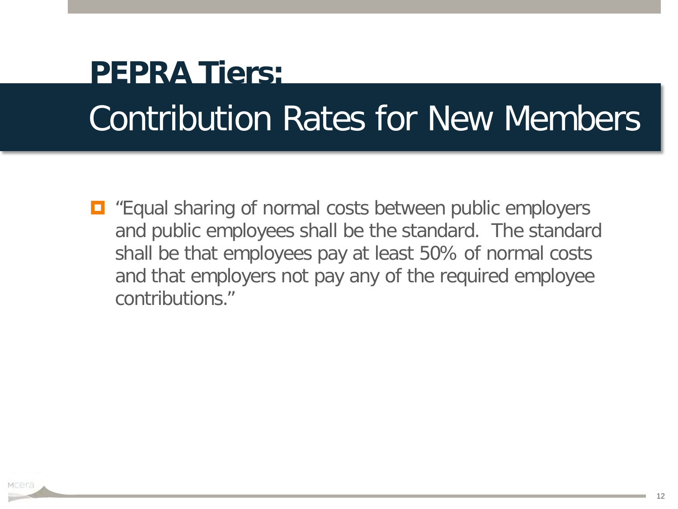# Contribution Rates for New Members **PEPRA Tiers:**

 $\Box$  "Equal sharing of normal costs between public employers and public employees shall be the standard. The standard shall be that employees pay at least 50% of normal costs and that employers not pay any of the required employee contributions."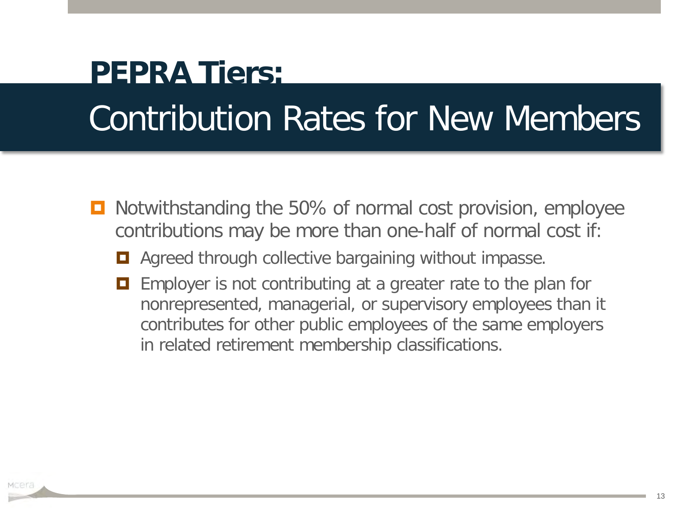# Contribution Rates for New Members **PEPRA Tiers:**

- Notwithstanding the 50% of normal cost provision, employee contributions may be more than one-half of normal cost if:
	- Agreed through collective bargaining without impasse.
	- **EXECUTE:** Employer is not contributing at a greater rate to the plan for nonrepresented, managerial, or supervisory employees than it contributes for other public employees of the same employers in related retirement membership classifications.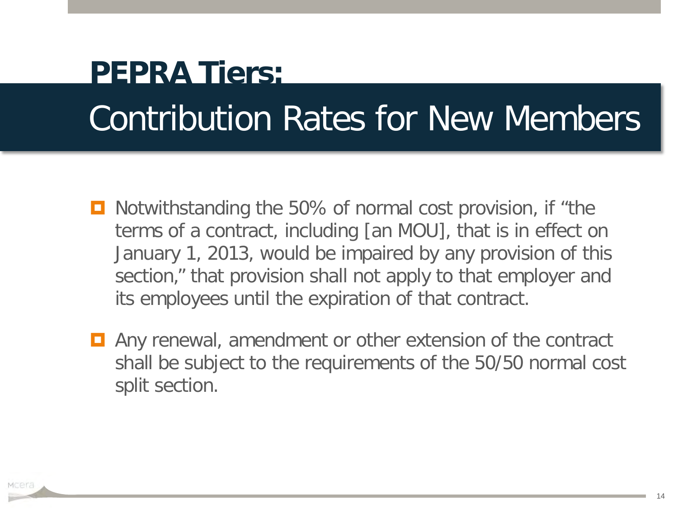# Contribution Rates for New Members **PEPRA Tiers:**

- Notwithstanding the 50% of normal cost provision, if "the terms of a contract, including [an MOU], that is in effect on January 1, 2013, would be impaired by any provision of this section," that provision shall not apply to that employer and its employees until the expiration of that contract.
- **E** Any renewal, amendment or other extension of the contract shall be subject to the requirements of the 50/50 normal cost split section.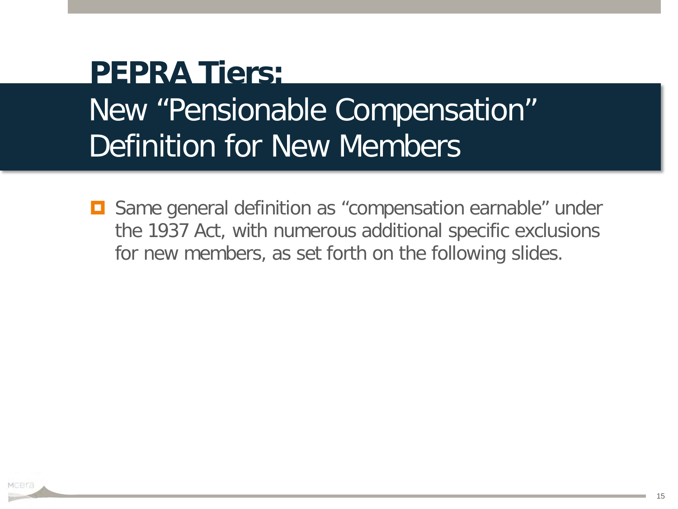#### New "Pensionable Compensation" Definition for New Members **PEPRA Tiers:**

**□** Same general definition as "compensation earnable" under the 1937 Act, with numerous additional specific exclusions for new members, as set forth on the following slides.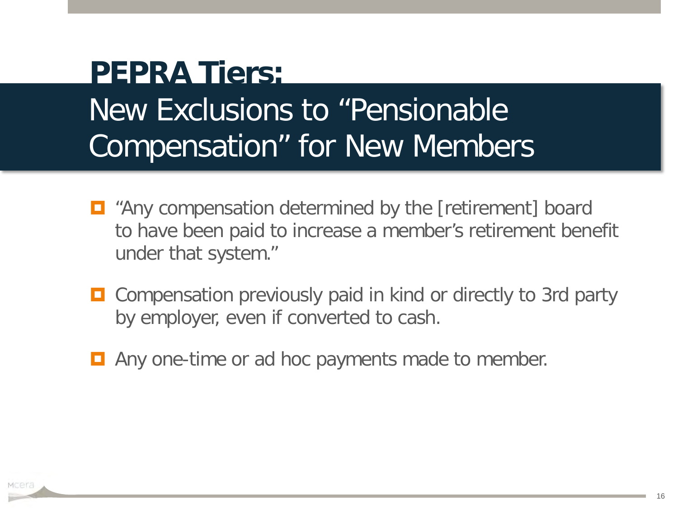#### New Exclusions to "Pensionable Compensation" for New Members **PEPRA Tiers:**

- "Any compensation determined by the [retirement] board to have been paid to increase a member's retirement benefit under that system."
- **O** Compensation previously paid in kind or directly to 3rd party by employer, even if converted to cash.
- **E** Any one-time or ad hoc payments made to member.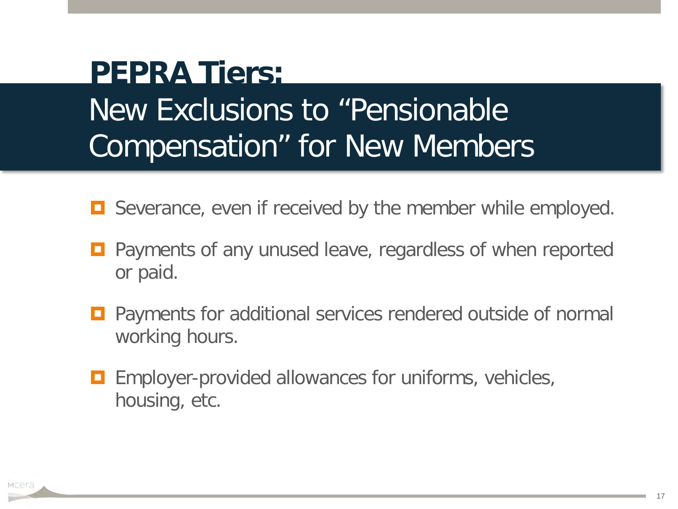#### New Exclusions to "Pensionable Compensation" for New Members **PEPRA Tiers:**

- $\Box$  Severance, even if received by the member while employed.
- Payments of any unused leave, regardless of when reported or paid.
- Payments for additional services rendered outside of normal working hours.
- **E** Employer-provided allowances for uniforms, vehicles, housing, etc.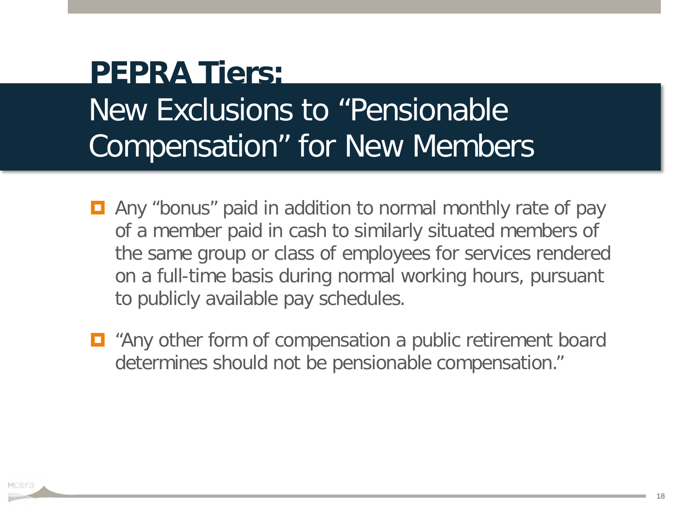#### New Exclusions to "Pensionable Compensation" for New Members **PEPRA Tiers:**

- **E** Any "bonus" paid in addition to normal monthly rate of pay of a member paid in cash to similarly situated members of the same group or class of employees for services rendered on a full-time basis during normal working hours, pursuant to publicly available pay schedules.
- "Any other form of compensation a public retirement board determines should not be pensionable compensation."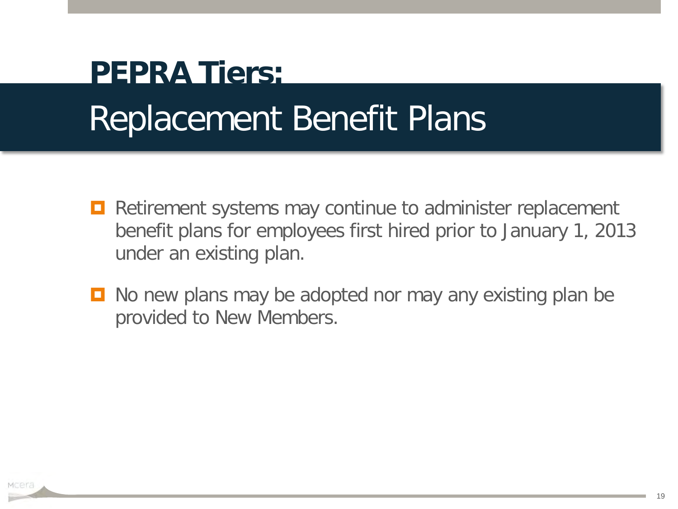## Replacement Benefit Plans **PEPRA Tiers:**

- **Retirement systems may continue to administer replacement** benefit plans for employees first hired prior to January 1, 2013 under an existing plan.
- No new plans may be adopted nor may any existing plan be provided to New Members.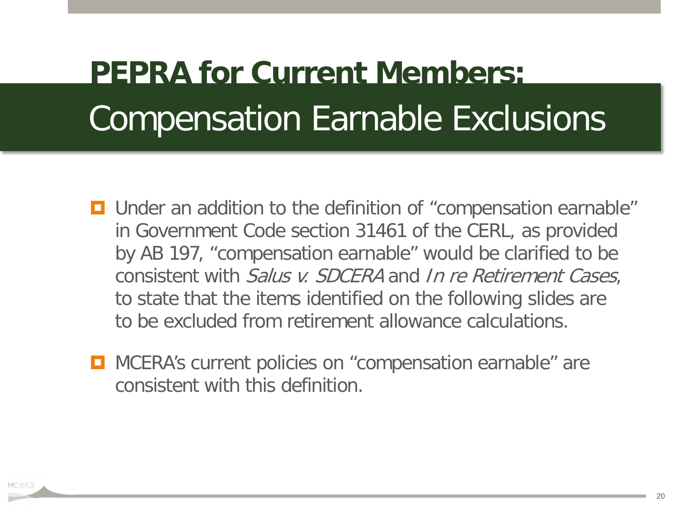- **D** Under an addition to the definition of "compensation earnable" in Government Code section 31461 of the CERL, as provided by AB 197, "compensation earnable" would be clarified to be consistent with Salus v. SDCERA and In re Retirement Cases, to state that the items identified on the following slides are to be excluded from retirement allowance calculations.
- **D** MCERA's current policies on "compensation earnable" are consistent with this definition.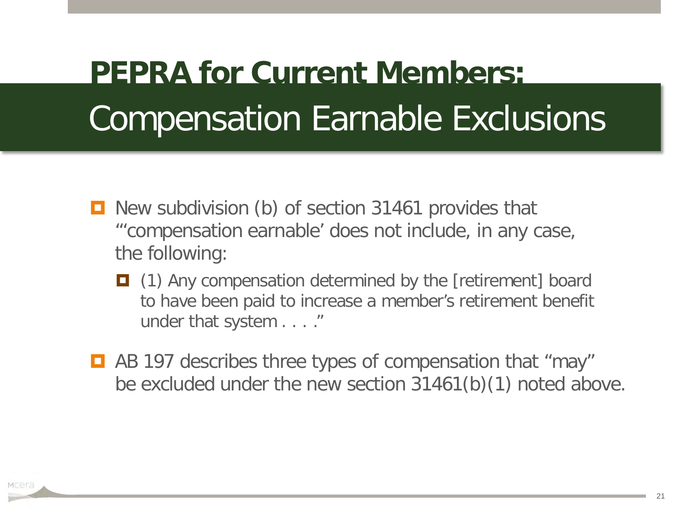- **D** New subdivision (b) of section 31461 provides that "'compensation earnable' does not include, in any case, the following:
	- (1) Any compensation determined by the [retirement] board to have been paid to increase a member's retirement benefit under that system . . . ."
- AB 197 describes three types of compensation that "may" be excluded under the new section 31461(b)(1) noted above.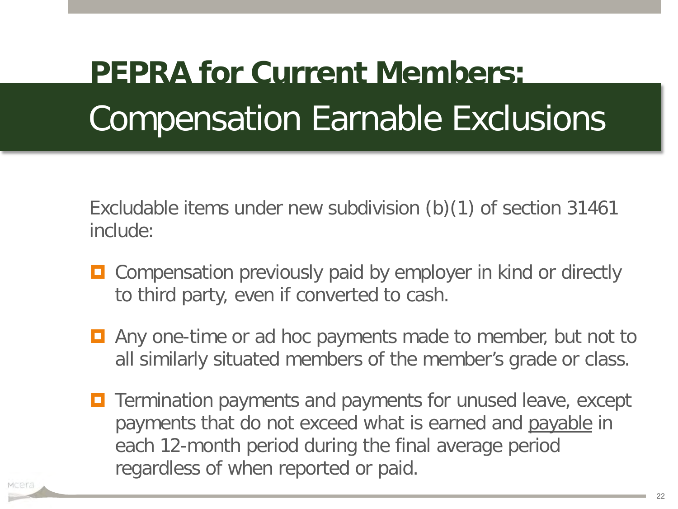Excludable items under new subdivision (b)(1) of section 31461 include:

- **O** Compensation previously paid by employer in kind or directly to third party, even if converted to cash.
- **E** Any one-time or ad hoc payments made to member, but not to all similarly situated members of the member's grade or class.
- **T** Termination payments and payments for unused leave, except payments that do not exceed what is earned and payable in each 12-month period during the final average period regardless of when reported or paid.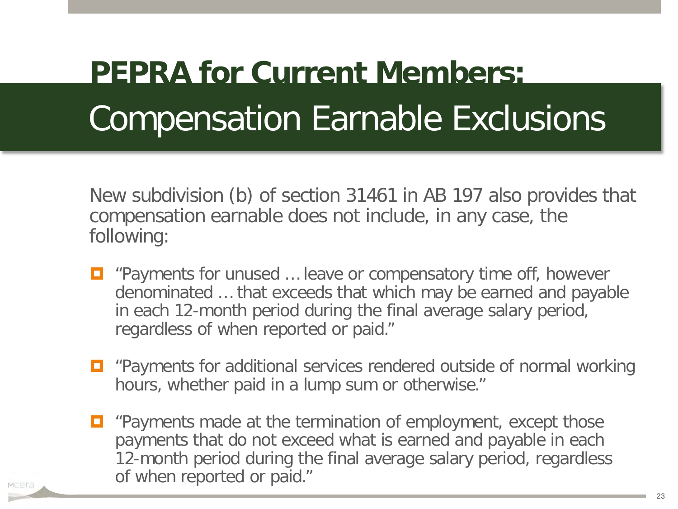New subdivision (b) of section 31461 in AB 197 also provides that compensation earnable does not include, in any case, the following:

- $\Box$  "Payments for unused ... leave or compensatory time off, however denominated … that exceeds that which may be earned and payable in each 12-month period during the final average salary period, regardless of when reported or paid."
- **D** "Payments for additional services rendered outside of normal working hours, whether paid in a lump sum or otherwise."
- $\Box$  "Payments made at the termination of employment, except those payments that do not exceed what is earned and payable in each 12-month period during the final average salary period, regardless of when reported or paid."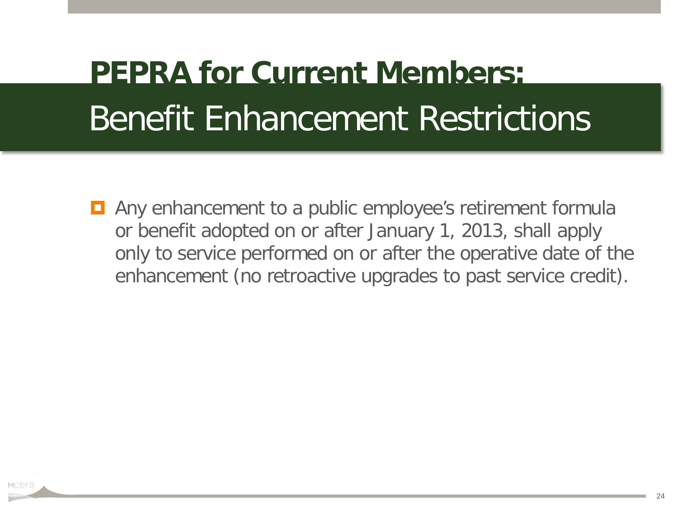### Benefit Enhancement Restrictions **PEPRA for Current Members:**

**E** Any enhancement to a public employee's retirement formula or benefit adopted on or after January 1, 2013, shall apply only to service performed on or after the operative date of the enhancement (no retroactive upgrades to past service credit).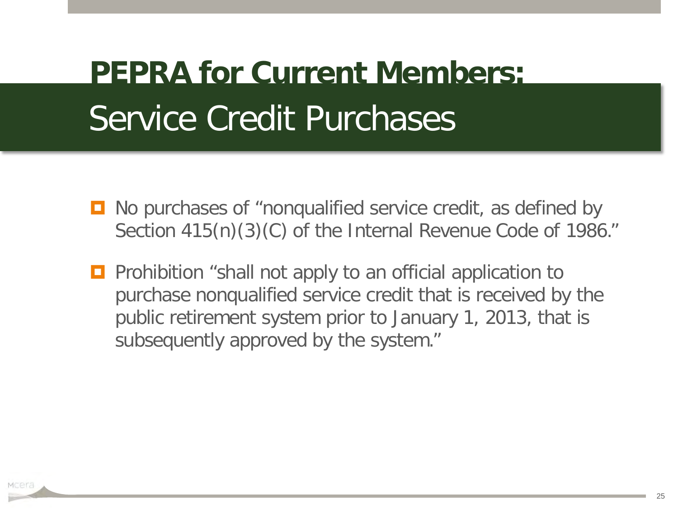### Service Credit Purchases **PEPRA for Current Members:**

- No purchases of "nonqualified service credit, as defined by Section 415(n)(3)(C) of the Internal Revenue Code of 1986."
- **Prohibition** "shall not apply to an official application to purchase nonqualified service credit that is received by the public retirement system prior to January 1, 2013, that is subsequently approved by the system."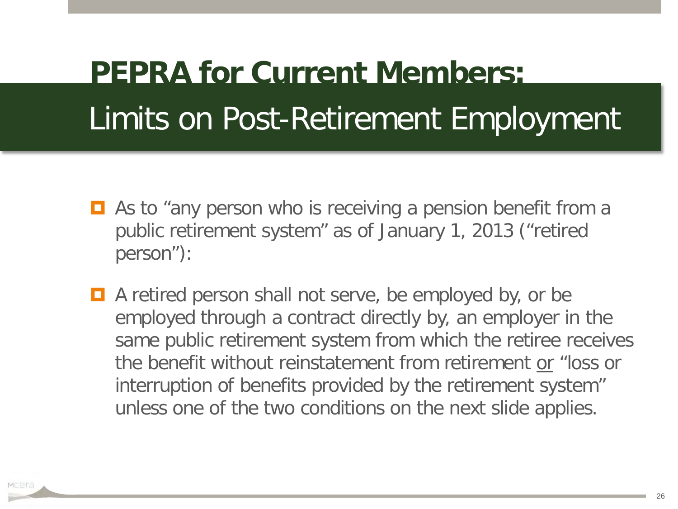- As to "any person who is receiving a pension benefit from a public retirement system" as of January 1, 2013 ("retired person"):
- A retired person shall not serve, be employed by, or be employed through a contract directly by, an employer in the same public retirement system from which the retiree receives the benefit without reinstatement from retirement or "loss or interruption of benefits provided by the retirement system" unless one of the two conditions on the next slide applies.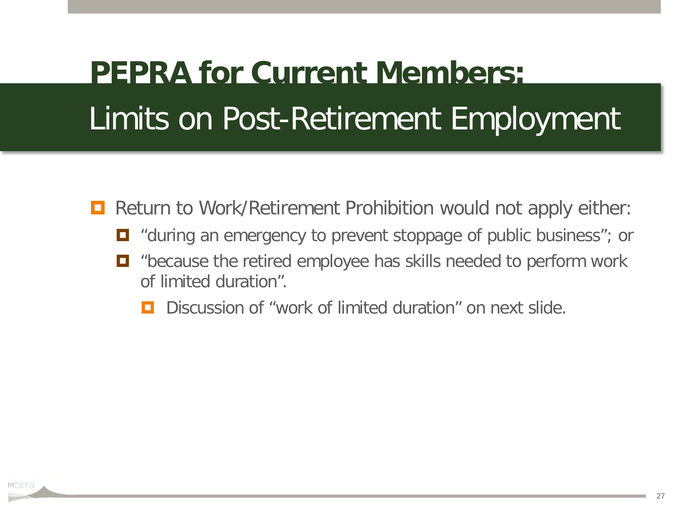- **Return to Work/Retirement Prohibition would not apply either:** 
	- $\blacksquare$  "during an emergency to prevent stoppage of public business"; or
	- "because the retired employee has skills needed to perform work of limited duration".
		- Discussion of "work of limited duration" on next slide.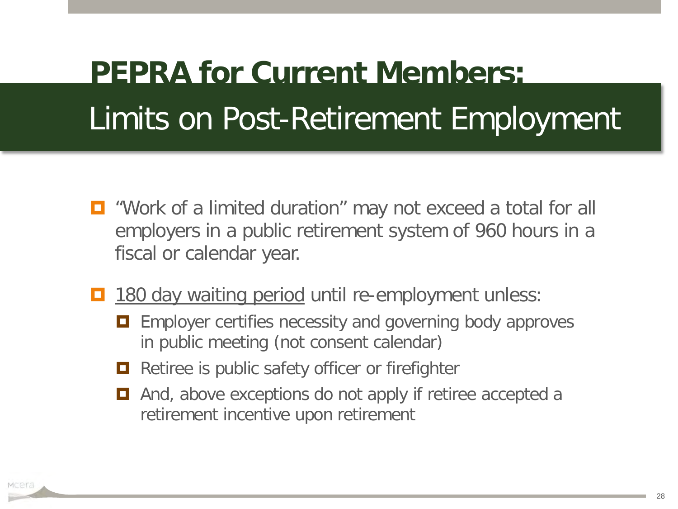- $\Box$  "Work of a limited duration" may not exceed a total for all employers in a public retirement system of 960 hours in a fiscal or calendar year.
- 180 day waiting period until re-employment unless:
	- **Example 1** Employer certifies necessity and governing body approves in public meeting (not consent calendar)
	- $\Box$  Retiree is public safety officer or firefighter
	- $\Box$  And, above exceptions do not apply if retiree accepted a retirement incentive upon retirement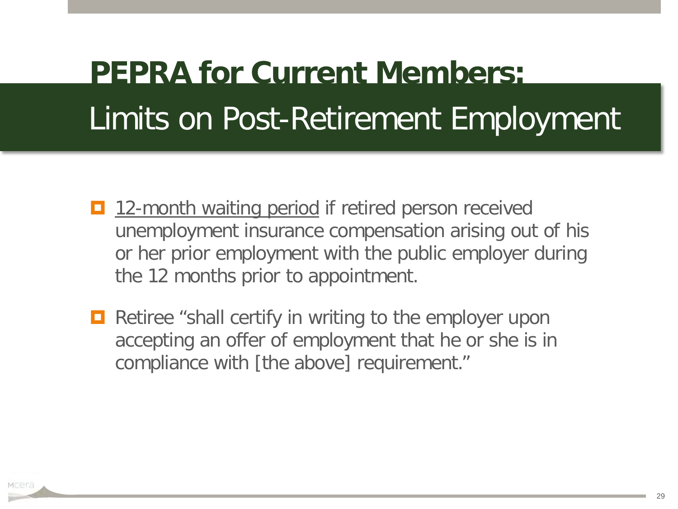- 12-month waiting period if retired person received unemployment insurance compensation arising out of his or her prior employment with the public employer during the 12 months prior to appointment.
- $\Box$  Retiree "shall certify in writing to the employer upon accepting an offer of employment that he or she is in compliance with [the above] requirement."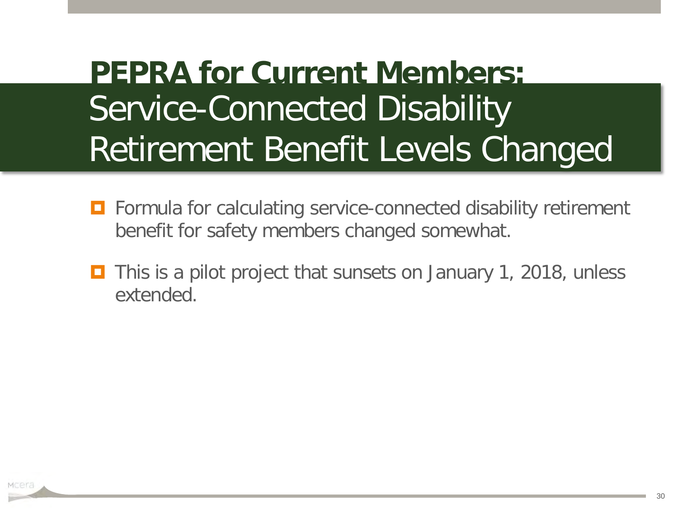#### Service-Connected Disability Retirement Benefit Levels Changed **PEPRA for Current Members:**

- Formula for calculating service-connected disability retirement benefit for safety members changed somewhat.
- This is a pilot project that sunsets on January 1, 2018, unless extended.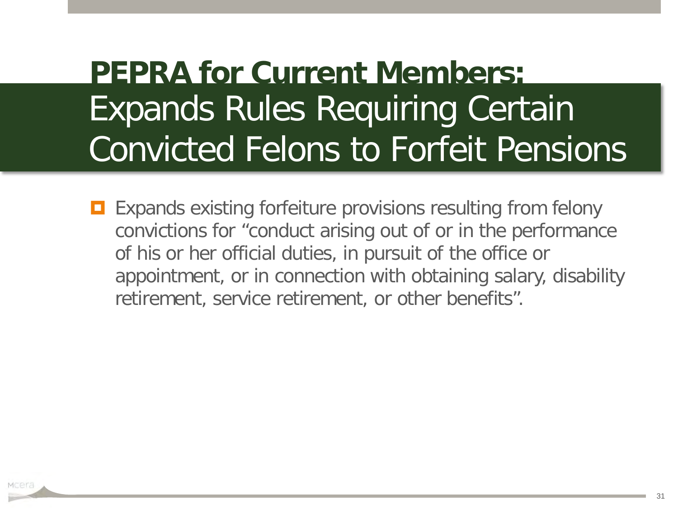#### Expands Rules Requiring Certain Convicted Felons to Forfeit Pensions **PEPRA for Current Members:**

**EXPANDENS** Expands existing forfeiture provisions resulting from felony convictions for "conduct arising out of or in the performance of his or her official duties, in pursuit of the office or appointment, or in connection with obtaining salary, disability retirement, service retirement, or other benefits".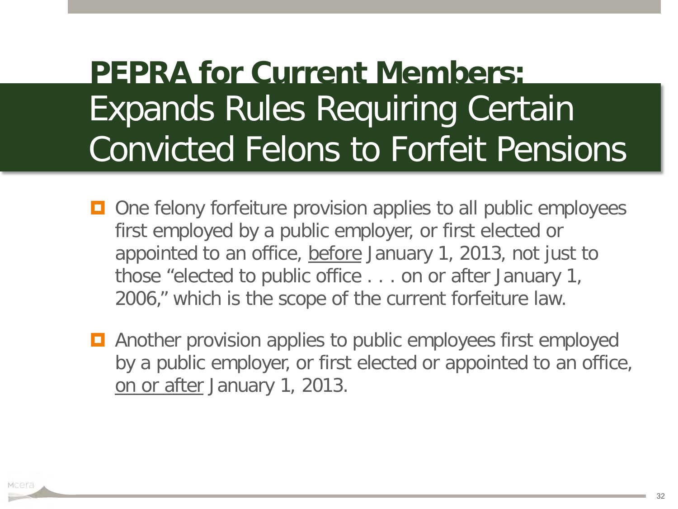#### Expands Rules Requiring Certain Convicted Felons to Forfeit Pensions **PEPRA for Current Members:**

- **□** One felony forfeiture provision applies to all public employees first employed by a public employer, or first elected or appointed to an office, before January 1, 2013, not just to those "elected to public office . . . on or after January 1, 2006," which is the scope of the current forfeiture law.
- **E** Another provision applies to public employees first employed by a public employer, or first elected or appointed to an office, on or after January 1, 2013.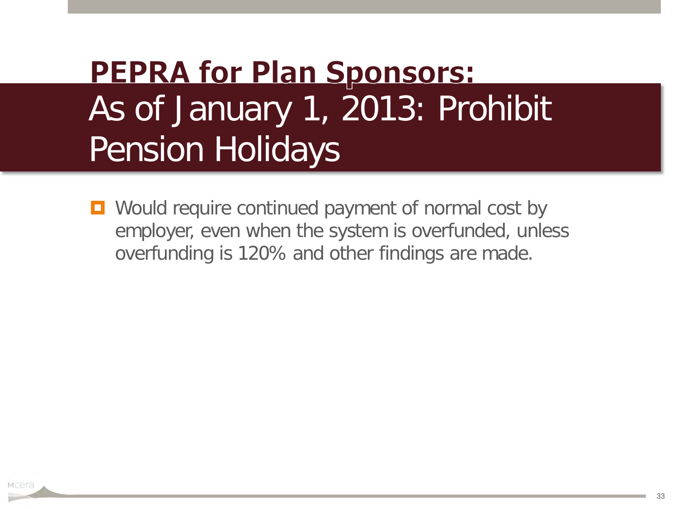#### **PEPRA for Plan Sponsors:** As of January 1, 2013: Prohibit Pension Holidays

**D** Would require continued payment of normal cost by employer, even when the system is overfunded, unless overfunding is 120% and other findings are made.